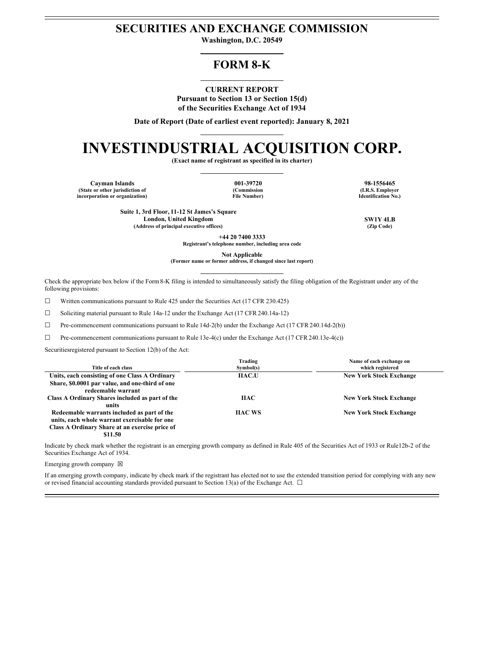## **SECURITIES AND EXCHANGE COMMISSION**

**Washington, D.C. 20549**

# **FORM 8-K**

## **CURRENT REPORT**

**Pursuant to Section 13 or Section 15(d) of the Securities Exchange Act of 1934**

**Date of Report (Date of earliest event reported): January 8, 2021**

# **INVESTINDUSTRIAL ACQUISITION CORP.**

**(Exact name of registrant as specified in its charter)**

**Cayman Islands 001-39720 98-1556465 (State or other jurisdiction of incorporation or organization)**

**(Commission File Number)**

**(I.R.S. Employer Identification No.)**

**Suite 1, 3rd Floor, 11-12 St James's Square London, United Kingdom SW1Y 4LB (Address of principal executive offices) (Zip Code)**

**+44 20 7400 3333**

**Registrant's telephone number, including area code**

**Not Applicable**

**(Former name or former address, if changed since last report)**

Check the appropriate box below if the Form8-K filing is intended to simultaneously satisfy the filing obligation of the Registrant under any of the following provisions:

☐ Written communications pursuant to Rule 425 under the Securities Act (17 CFR 230.425)

☐ Soliciting material pursuant to Rule 14a-12 under the Exchange Act (17 CFR 240.14a-12)

☐ Pre-commencement communications pursuant to Rule 14d-2(b) under the Exchange Act (17 CFR 240.14d-2(b))

 $\Box$  Pre-commencement communications pursuant to Rule 13e-4(c) under the Exchange Act (17 CFR 240.13e-4(c))

Securitiesregistered pursuant to Section 12(b) of the Act:

| Title of each class                             | Trading<br>Symbol(s) | Name of each exchange on<br>which registered |
|-------------------------------------------------|----------------------|----------------------------------------------|
| Units, each consisting of one Class A Ordinary  | <b>IIAC.U</b>        | <b>New York Stock Exchange</b>               |
| Share, \$0.0001 par value, and one-third of one |                      |                                              |
| redeemable warrant                              |                      |                                              |
| Class A Ordinary Shares included as part of the | <b>HAC</b>           | <b>New York Stock Exchange</b>               |
| units                                           |                      |                                              |
| Redeemable warrants included as part of the     | <b>HAC WS</b>        | <b>New York Stock Exchange</b>               |
| units, each whole warrant exercisable for one   |                      |                                              |
| Class A Ordinary Share at an exercise price of  |                      |                                              |
| \$11.50                                         |                      |                                              |

Indicate by check mark whether the registrant is an emerging growth company as defined in Rule 405 of the Securities Act of 1933 or Rule12b-2 of the Securities Exchange Act of 1934.

Emerging growth company  $\boxtimes$ 

If an emerging growth company, indicate by check mark if the registrant has elected not to use the extended transition period for complying with any new or revised financial accounting standards provided pursuant to Section 13(a) of the Exchange Act.  $\Box$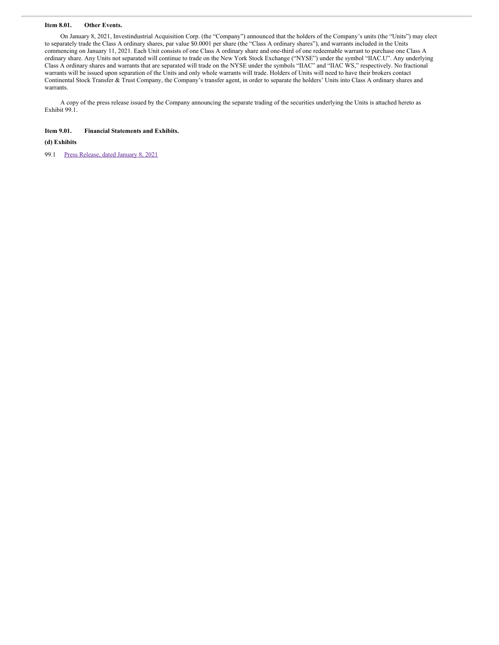## **Item 8.01. Other Events.**

On January 8, 2021, Investindustrial Acquisition Corp. (the "Company") announced that the holders of the Company's units (the "Units") may elect to separately trade the Class A ordinary shares, par value \$0.0001 per share (the "Class A ordinary shares"), and warrants included in the Units commencing on January 11, 2021. Each Unit consists of one Class A ordinary share and one-third of one redeemable warrant to purchase one Class A ordinary share. Any Units not separated will continue to trade on the New York Stock Exchange ("NYSE") under the symbol "IIAC.U". Any underlying Class A ordinary shares and warrants that are separated will trade on the NYSE under the symbols "IIAC" and "IIAC WS," respectively. No fractional warrants will be issued upon separation of the Units and only whole warrants will trade. Holders of Units will need to have their brokers contact Continental Stock Transfer & Trust Company, the Company's transfer agent, in order to separate the holders' Units into Class A ordinary shares and warrants.

A copy of the press release issued by the Company announcing the separate trading of the securities underlying the Units is attached hereto as Exhibit 99.1.

## **Item 9.01. Financial Statements and Exhibits.**

## **(d) Exhibits**

99.1 Press [Release,](#page-3-0) dated January 8, 2021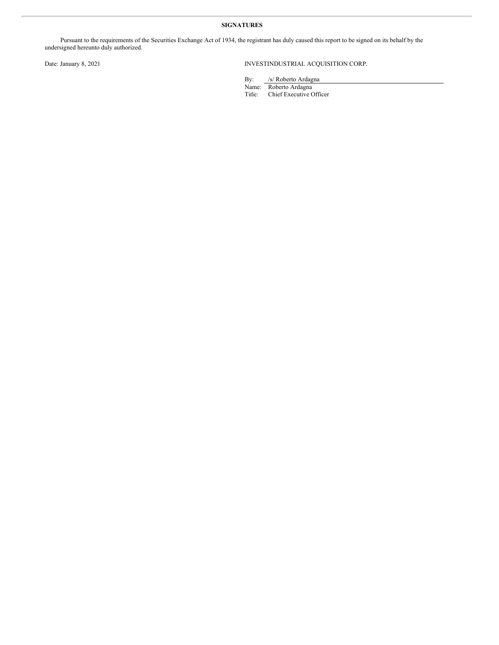## **SIGNATURES**

Pursuant to the requirements of the Securities Exchange Act of 1934, the registrant has duly caused this report to be signed on its behalf by the undersigned hereunto duly authorized.

## Date: January 8, 2021 INVESTINDUSTRIAL ACQUISITION CORP.

By: /s/ Roberto Ardagna

Name: Roberto Ardagna Title: Chief Executive Officer